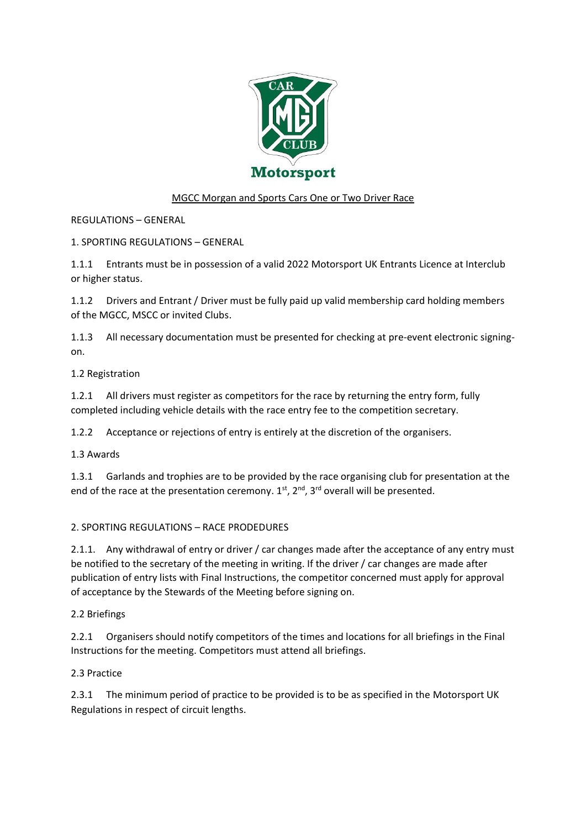

# MGCC Morgan and Sports Cars One or Two Driver Race

REGULATIONS – GENERAL

1. SPORTING REGULATIONS – GENERAL

1.1.1 Entrants must be in possession of a valid 2022 Motorsport UK Entrants Licence at Interclub or higher status.

1.1.2 Drivers and Entrant / Driver must be fully paid up valid membership card holding members of the MGCC, MSCC or invited Clubs.

1.1.3 All necessary documentation must be presented for checking at pre-event electronic signingon.

1.2 Registration

1.2.1 All drivers must register as competitors for the race by returning the entry form, fully completed including vehicle details with the race entry fee to the competition secretary.

1.2.2 Acceptance or rejections of entry is entirely at the discretion of the organisers.

1.3 Awards

1.3.1 Garlands and trophies are to be provided by the race organising club for presentation at the end of the race at the presentation ceremony.  $1^{st}$ ,  $2^{nd}$ ,  $3^{rd}$  overall will be presented.

## 2. SPORTING REGULATIONS – RACE PRODEDURES

2.1.1. Any withdrawal of entry or driver / car changes made after the acceptance of any entry must be notified to the secretary of the meeting in writing. If the driver / car changes are made after publication of entry lists with Final Instructions, the competitor concerned must apply for approval of acceptance by the Stewards of the Meeting before signing on.

## 2.2 Briefings

2.2.1 Organisers should notify competitors of the times and locations for all briefings in the Final Instructions for the meeting. Competitors must attend all briefings.

## 2.3 Practice

2.3.1 The minimum period of practice to be provided is to be as specified in the Motorsport UK Regulations in respect of circuit lengths.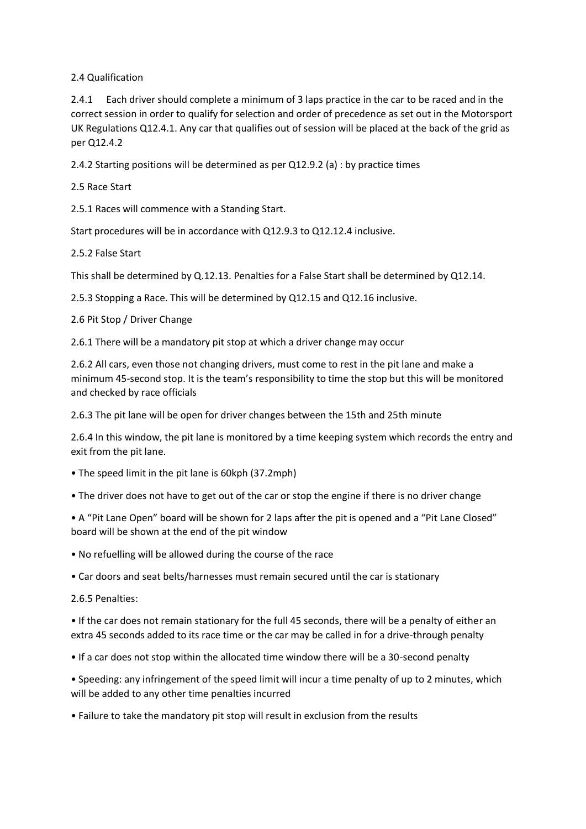## 2.4 Qualification

2.4.1 Each driver should complete a minimum of 3 laps practice in the car to be raced and in the correct session in order to qualify for selection and order of precedence as set out in the Motorsport UK Regulations Q12.4.1. Any car that qualifies out of session will be placed at the back of the grid as per Q12.4.2

2.4.2 Starting positions will be determined as per Q12.9.2 (a) : by practice times

#### 2.5 Race Start

2.5.1 Races will commence with a Standing Start.

Start procedures will be in accordance with Q12.9.3 to Q12.12.4 inclusive.

#### 2.5.2 False Start

This shall be determined by Q.12.13. Penalties for a False Start shall be determined by Q12.14.

2.5.3 Stopping a Race. This will be determined by Q12.15 and Q12.16 inclusive.

2.6 Pit Stop / Driver Change

2.6.1 There will be a mandatory pit stop at which a driver change may occur

2.6.2 All cars, even those not changing drivers, must come to rest in the pit lane and make a minimum 45-second stop. It is the team's responsibility to time the stop but this will be monitored and checked by race officials

2.6.3 The pit lane will be open for driver changes between the 15th and 25th minute

2.6.4 In this window, the pit lane is monitored by a time keeping system which records the entry and exit from the pit lane.

- The speed limit in the pit lane is 60kph (37.2mph)
- The driver does not have to get out of the car or stop the engine if there is no driver change

• A "Pit Lane Open" board will be shown for 2 laps after the pit is opened and a "Pit Lane Closed" board will be shown at the end of the pit window

• No refuelling will be allowed during the course of the race

• Car doors and seat belts/harnesses must remain secured until the car is stationary

2.6.5 Penalties:

• If the car does not remain stationary for the full 45 seconds, there will be a penalty of either an extra 45 seconds added to its race time or the car may be called in for a drive-through penalty

• If a car does not stop within the allocated time window there will be a 30-second penalty

• Speeding: any infringement of the speed limit will incur a time penalty of up to 2 minutes, which will be added to any other time penalties incurred

• Failure to take the mandatory pit stop will result in exclusion from the results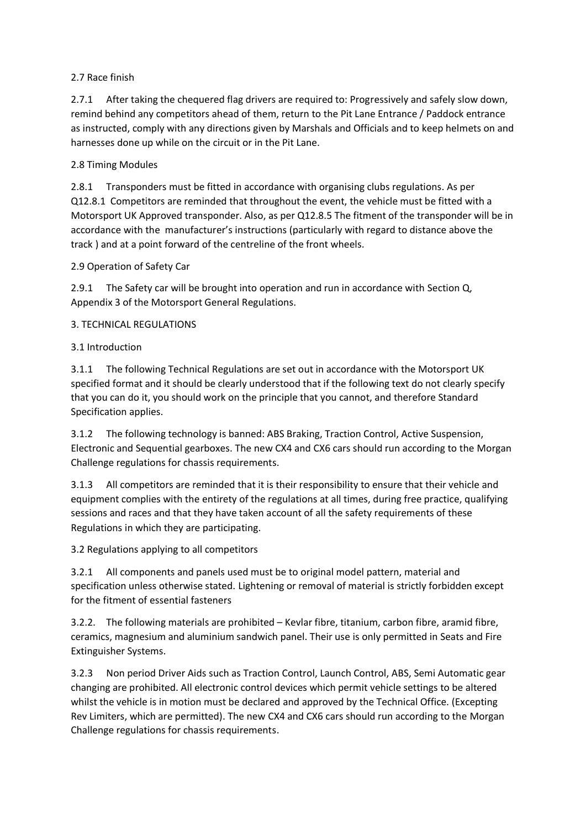# 2.7 Race finish

2.7.1 After taking the chequered flag drivers are required to: Progressively and safely slow down, remind behind any competitors ahead of them, return to the Pit Lane Entrance / Paddock entrance as instructed, comply with any directions given by Marshals and Officials and to keep helmets on and harnesses done up while on the circuit or in the Pit Lane.

# 2.8 Timing Modules

2.8.1 Transponders must be fitted in accordance with organising clubs regulations. As per Q12.8.1 Competitors are reminded that throughout the event, the vehicle must be fitted with a Motorsport UK Approved transponder. Also, as per Q12.8.5 The fitment of the transponder will be in accordance with the manufacturer's instructions (particularly with regard to distance above the track ) and at a point forward of the centreline of the front wheels.

# 2.9 Operation of Safety Car

2.9.1 The Safety car will be brought into operation and run in accordance with Section Q, Appendix 3 of the Motorsport General Regulations.

# 3. TECHNICAL REGULATIONS

# 3.1 Introduction

3.1.1 The following Technical Regulations are set out in accordance with the Motorsport UK specified format and it should be clearly understood that if the following text do not clearly specify that you can do it, you should work on the principle that you cannot, and therefore Standard Specification applies.

3.1.2 The following technology is banned: ABS Braking, Traction Control, Active Suspension, Electronic and Sequential gearboxes. The new CX4 and CX6 cars should run according to the Morgan Challenge regulations for chassis requirements.

3.1.3 All competitors are reminded that it is their responsibility to ensure that their vehicle and equipment complies with the entirety of the regulations at all times, during free practice, qualifying sessions and races and that they have taken account of all the safety requirements of these Regulations in which they are participating.

3.2 Regulations applying to all competitors

3.2.1 All components and panels used must be to original model pattern, material and specification unless otherwise stated. Lightening or removal of material is strictly forbidden except for the fitment of essential fasteners

3.2.2. The following materials are prohibited – Kevlar fibre, titanium, carbon fibre, aramid fibre, ceramics, magnesium and aluminium sandwich panel. Their use is only permitted in Seats and Fire Extinguisher Systems.

3.2.3 Non period Driver Aids such as Traction Control, Launch Control, ABS, Semi Automatic gear changing are prohibited. All electronic control devices which permit vehicle settings to be altered whilst the vehicle is in motion must be declared and approved by the Technical Office. (Excepting Rev Limiters, which are permitted). The new CX4 and CX6 cars should run according to the Morgan Challenge regulations for chassis requirements.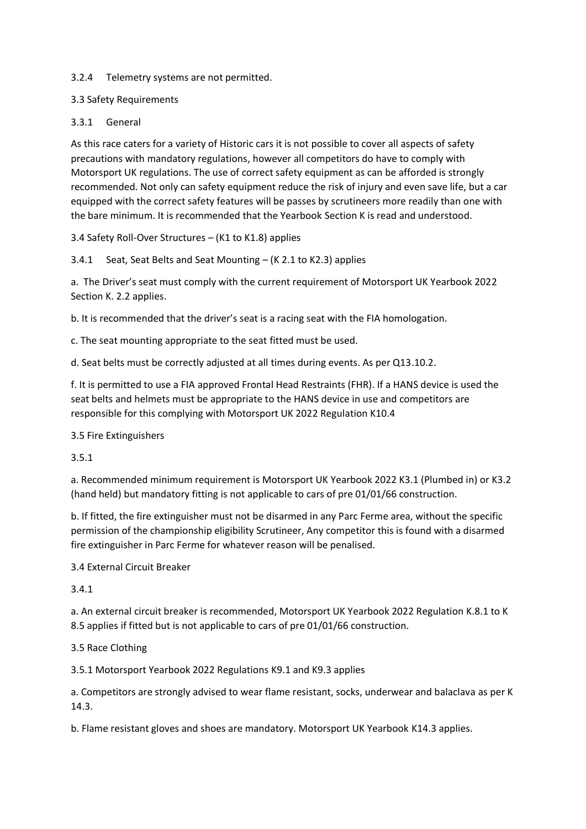#### 3.2.4 Telemetry systems are not permitted.

#### 3.3 Safety Requirements

#### 3.3.1 General

As this race caters for a variety of Historic cars it is not possible to cover all aspects of safety precautions with mandatory regulations, however all competitors do have to comply with Motorsport UK regulations. The use of correct safety equipment as can be afforded is strongly recommended. Not only can safety equipment reduce the risk of injury and even save life, but a car equipped with the correct safety features will be passes by scrutineers more readily than one with the bare minimum. It is recommended that the Yearbook Section K is read and understood.

3.4 Safety Roll-Over Structures – (K1 to K1.8) applies

3.4.1 Seat, Seat Belts and Seat Mounting – (K 2.1 to K2.3) applies

a. The Driver's seat must comply with the current requirement of Motorsport UK Yearbook 2022 Section K. 2.2 applies.

b. It is recommended that the driver's seat is a racing seat with the FIA homologation.

c. The seat mounting appropriate to the seat fitted must be used.

d. Seat belts must be correctly adjusted at all times during events. As per Q13.10.2.

f. It is permitted to use a FIA approved Frontal Head Restraints (FHR). If a HANS device is used the seat belts and helmets must be appropriate to the HANS device in use and competitors are responsible for this complying with Motorsport UK 2022 Regulation K10.4

3.5 Fire Extinguishers

3.5.1

a. Recommended minimum requirement is Motorsport UK Yearbook 2022 K3.1 (Plumbed in) or K3.2 (hand held) but mandatory fitting is not applicable to cars of pre 01/01/66 construction.

b. If fitted, the fire extinguisher must not be disarmed in any Parc Ferme area, without the specific permission of the championship eligibility Scrutineer, Any competitor this is found with a disarmed fire extinguisher in Parc Ferme for whatever reason will be penalised.

3.4 External Circuit Breaker

3.4.1

a. An external circuit breaker is recommended, Motorsport UK Yearbook 2022 Regulation K.8.1 to K 8.5 applies if fitted but is not applicable to cars of pre 01/01/66 construction.

## 3.5 Race Clothing

3.5.1 Motorsport Yearbook 2022 Regulations K9.1 and K9.3 applies

a. Competitors are strongly advised to wear flame resistant, socks, underwear and balaclava as per K 14.3.

b. Flame resistant gloves and shoes are mandatory. Motorsport UK Yearbook K14.3 applies.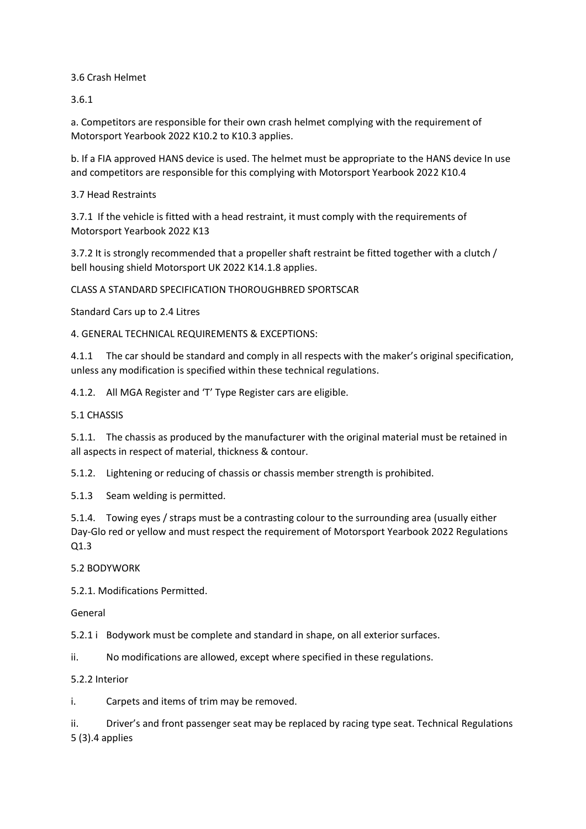3.6 Crash Helmet

3.6.1

a. Competitors are responsible for their own crash helmet complying with the requirement of Motorsport Yearbook 2022 K10.2 to K10.3 applies.

b. If a FIA approved HANS device is used. The helmet must be appropriate to the HANS device In use and competitors are responsible for this complying with Motorsport Yearbook 2022 K10.4

3.7 Head Restraints

3.7.1 If the vehicle is fitted with a head restraint, it must comply with the requirements of Motorsport Yearbook 2022 K13

3.7.2 It is strongly recommended that a propeller shaft restraint be fitted together with a clutch / bell housing shield Motorsport UK 2022 K14.1.8 applies.

CLASS A STANDARD SPECIFICATION THOROUGHBRED SPORTSCAR

Standard Cars up to 2.4 Litres

4. GENERAL TECHNICAL REQUIREMENTS & EXCEPTIONS:

4.1.1 The car should be standard and comply in all respects with the maker's original specification, unless any modification is specified within these technical regulations.

4.1.2. All MGA Register and 'T' Type Register cars are eligible.

5.1 CHASSIS

5.1.1. The chassis as produced by the manufacturer with the original material must be retained in all aspects in respect of material, thickness & contour.

5.1.2. Lightening or reducing of chassis or chassis member strength is prohibited.

5.1.3 Seam welding is permitted.

5.1.4. Towing eyes / straps must be a contrasting colour to the surrounding area (usually either Day-Glo red or yellow and must respect the requirement of Motorsport Yearbook 2022 Regulations Q1.3

5.2 BODYWORK

5.2.1. Modifications Permitted.

General

5.2.1 i Bodywork must be complete and standard in shape, on all exterior surfaces.

ii. No modifications are allowed, except where specified in these regulations.

5.2.2 Interior

i. Carpets and items of trim may be removed.

ii. Driver's and front passenger seat may be replaced by racing type seat. Technical Regulations 5 (3).4 applies